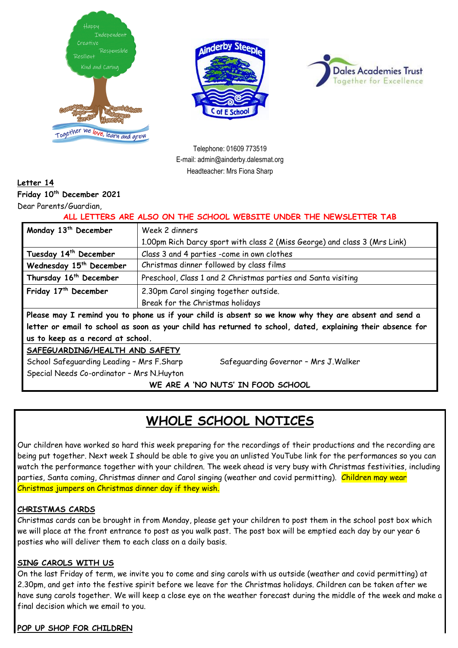





Telephone: 01609 773519 E-mail: admin@ainderby.dalesmat.org Headteacher: Mrs Fiona Sharp

## **Letter 14**

**Friday 10th December 2021**

Dear Parents/Guardian,

### **ALL LETTERS ARE ALSO ON THE SCHOOL WEBSITE UNDER THE NEWSLETTER TAB**

| Monday 13 <sup>th</sup> December                                                                            | Week 2 dinners                                                            |  |
|-------------------------------------------------------------------------------------------------------------|---------------------------------------------------------------------------|--|
|                                                                                                             | 1.00pm Rich Darcy sport with class 2 (Miss George) and class 3 (Mrs Link) |  |
| Tuesday 14th December                                                                                       | Class 3 and 4 parties -come in own clothes                                |  |
| Wednesday 15 <sup>th</sup> December                                                                         | Christmas dinner followed by class films                                  |  |
| Thursday 16 <sup>th</sup> December                                                                          | Preschool, Class 1 and 2 Christmas parties and Santa visiting             |  |
| Friday 17 <sup>th</sup> December                                                                            | 2.30pm Carol singing together outside.                                    |  |
|                                                                                                             | Break for the Christmas holidays                                          |  |
| Please may I remind you to phone us if your child is absent so we know why they are absent and send a       |                                                                           |  |
| letter or email to school as soon as your child has returned to school, dated, explaining their absence for |                                                                           |  |
| us to keep as a record at school.                                                                           |                                                                           |  |
| SAFEGUARDING/HEALTH AND SAFETY                                                                              |                                                                           |  |
| School Safeguarding Leading - Mrs F.Sharp<br>Safeguarding Governor - Mrs J. Walker                          |                                                                           |  |
| Special Needs Co-ordinator - Mrs N. Huyton                                                                  |                                                                           |  |

**WE ARE A 'NO NUTS' IN FOOD SCHOOL**

# **WHOLE SCHOOL NOTICES**

Our children have worked so hard this week preparing for the recordings of their productions and the recording are being put together. Next week I should be able to give you an unlisted YouTube link for the performances so you can watch the performance together with your children. The week ahead is very busy with Christmas festivities, including parties, Santa coming, Christmas dinner and Carol singing (weather and covid permitting). Children may wear Christmas jumpers on Christmas dinner day if they wish.

## **CHRISTMAS CARDS**

Christmas cards can be brought in from Monday, please get your children to post them in the school post box which we will place at the front entrance to post as you walk past. The post box will be emptied each day by our year 6 posties who will deliver them to each class on a daily basis.

## **SING CAROLS WITH US**

On the last Friday of term, we invite you to come and sing carols with us outside (weather and covid permitting) at 2.30pm, and get into the festive spirit before we leave for the Christmas holidays. Children can be taken after we have sung carols together. We will keep a close eye on the weather forecast during the middle of the week and make a final decision which we email to you.

#### **POP UP SHOP FOR CHILDREN**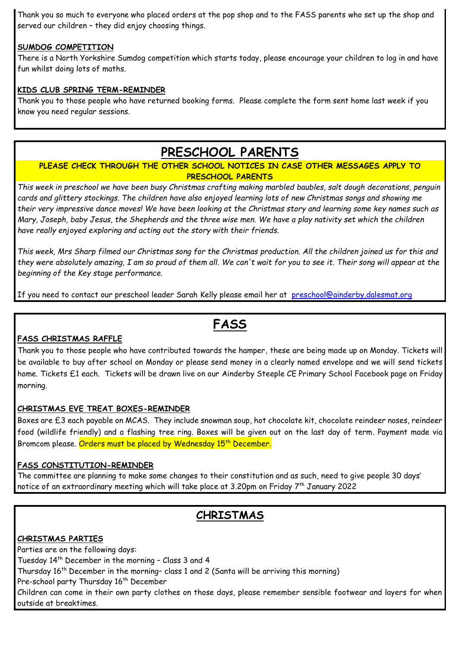Thank you so much to everyone who placed orders at the pop shop and to the FASS parents who set up the shop and served our children – they did enjoy choosing things.

## **SUMDOG COMPETITION**

There is a North Yorkshire Sumdog competition which starts today, please encourage your children to log in and have fun whilst doing lots of maths.

### **KIDS CLUB SPRING TERM-REMINDER**

Thank you to those people who have returned booking forms. Please complete the form sent home last week if you know you need regular sessions.

## **PRESCHOOL PARENTS**

## **PLEASE CHECK THROUGH THE OTHER SCHOOL NOTICES IN CASE OTHER MESSAGES APPLY TO PRESCHOOL PARENTS**

*This week in preschool we have been busy Christmas crafting making marbled baubles, salt dough decorations, penguin cards and glittery stockings. The children have also enjoyed learning lots of new Christmas songs and showing me their very impressive dance moves! We have been looking at the Christmas story and learning some key names such as Mary, Joseph, baby Jesus, the Shepherds and the three wise men. We have a play nativity set which the children have really enjoyed exploring and acting out the story with their friends.*

*This week, Mrs Sharp filmed our Christmas song for the Christmas production. All the children joined us for this and they were absolutely amazing, I am so proud of them all. We can't wait for you to see it. Their song will appear at the beginning of the Key stage performance.* 

If you need to contact our preschool leader Sarah Kelly please email her at [preschool@ainderby.dalesmat.org](mailto:preschool@ainderby.dalesmat.org)

## **FASS**

## **FASS CHRISTMAS RAFFLE**

Thank you to those people who have contributed towards the hamper, these are being made up on Monday. Tickets will be available to buy after school on Monday or please send money in a clearly named envelope and we will send tickets home. Tickets £1 each. Tickets will be drawn live on our Ainderby Steeple CE Primary School Facebook page on Friday morning.

## **CHRISTMAS EVE TREAT BOXES-REMINDER**

Boxes are £3 each payable on MCAS. They include snowman soup, hot chocolate kit, chocolate reindeer noses, reindeer food (wildlife friendly) and a flashing tree ring. Boxes will be given out on the last day of term. Payment made via Bromcom please. Orders must be placed by Wednesday 15<sup>th</sup> December.

#### **FASS CONSTITUTION-REMINDER**

The committee are planning to make some changes to their constitution and as such, need to give people 30 days' notice of an extraordinary meeting which will take place at 3.20pm on Friday  $7^{\rm th}$  January 2022

## **CHRISTMAS**

## **CHRISTMAS PARTIES**

Parties are on the following days:

Tuesday 14 th December in the morning – Class 3 and 4

Thursday 16<sup>th</sup> December in the morning- class 1 and 2 (Santa will be arriving this morning)

Pre-school party Thursday 16<sup>th</sup> December

Children can come in their own party clothes on those days, please remember sensible footwear and layers for when outside at breaktimes.